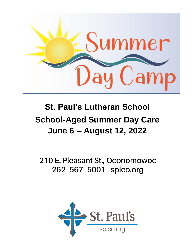

# **St. Paul's Lutheran School School-Aged Summer Day Care June 6 August 12, 2022**

210 E. Pleasant St., Oconomowoc 262-567-5001 | splco.org

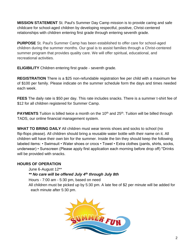**MISSION STATEMENT** St. Paul's Summer Day Camp mission is to provide caring and safe childcare for school-aged children by developing respectful, positive, Christ-centered relationships with children entering first grade through entering seventh grade.

**PURPOSE** St. Paul's Summer Camp has been established to offer care for school-aged children during the summer months. Our goal is to assist families through a Christ-centered summer program that provides quality care. We will offer spiritual, educational, and recreational activities.

**ELIGIBILITY** Children entering first grade - seventh grade.

**REGISTRATION** There is a \$25 non-refundable registration fee per child with a maximum fee of \$100 per family. Please indicate on the summer schedule form the days and times needed each week.

**FEES** The daily rate is \$50 per day. This rate includes snacks. There is a summer t-shirt fee of \$12 for all children registered for Summer Camp.

**PAYMENTS** Tuition is billed twice a month on the 10<sup>th</sup> and 25<sup>th</sup>. Tuition will be billed through TADS, our online financial management system.

**WHAT TO BRING DAILY** All children must wear tennis shoes and socks to school (no flip-flops please). All children should bring a reusable water bottle with their name on it. All children will have their own bin for the summer. Inside the bin they should keep the following labeled items: • Swimsuit • Water shoes or crocs • Towel • Extra clothes (pants, shirts, socks, underwear) • Sunscreen (Please apply first application each morning before drop off) \*Drinks will be provided with snacks.

# **HOURS OF OPERATION**

June 6-August 12\*\*

# *\*\* No care will be offered July 4 th through July 8th*

Hours - 7:00 am - 5:30 pm, based on need All children must be picked up by 5:30 pm. A late fee of \$2 per minute will be added for each minute after 5:30 pm.

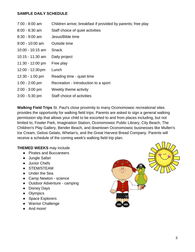#### **SAMPLE DAILY SCHEDULE**

| $7:00 - 8:00$ am           | Children arrive; breakfast if provided by parents; free play |
|----------------------------|--------------------------------------------------------------|
| $8:00 - 8:30$ am           | Staff choice of quiet activities                             |
| $8:30 - 9:00$ am           | Jesus/Bible time                                             |
| $9:00 - 10:00$ am          | Outside time                                                 |
| 10:00 - 10:15 am           | <b>Snack</b>                                                 |
| 10:15 - 11:30 am           | Daily project                                                |
| $11:30 - 12:00$ pm         | Free play                                                    |
| $12:00 - 12:30 \text{ pm}$ | Lunch                                                        |
| $12:30 - 1:00$ pm          | Reading time - quiet time                                    |
| $1:00 - 2:00$ pm           | Recreation - Introduction to a sport                         |
| $2:00 - 3:00$ pm           | Weekly theme activity                                        |
| $3:00 - 5:30$ pm           | Staff choice of activities                                   |

**Walking Field Trips** St. Paul's close proximity to many Oconomowoc recreational sites provides the opportunity for walking field trips. Parents are asked to sign a general walking permission slip that allows your child to be escorted to and from places including, but not limited to, Fowler Park, Imagination Station, Oconomowoc Public Library, City Beach, The Children's Play Gallery, Bender Beach, and downtown Oconomowoc businesses like Mullen's Ice Cream, Gelosi Gelato, Whelan's, and the Great Harvest Bread Company. Parents will receive a schedule of the coming week's walking field trip plan.

#### **THEMED WEEKS** may include

- Pirates and Buccaneers
- Jungle Safari
- Junior Chefs
- STEM/STEAM
- Under the Sea
- Camp Newton science
- Outdoor Adventure camping
- Disney Days
- Olympics
- Space Explorers
- Warrior Challenge
- And more!

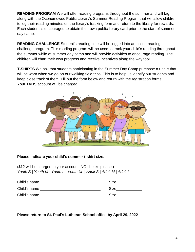**READING PROGRAM** We will offer reading programs throughout the summer and will tag along with the Oconomowoc Public Library's Summer Reading Program that will allow children to log their reading minutes on the library's tracking form and return to the library for rewards. Each student is encouraged to obtain their own public library card prior to the start of summer day camp.

**READING CHALLENGE** Student's reading time will be logged into an online reading challenge program. This reading program will be used to track your child's reading throughout the summer while at summer day camp and will provide activities to encourage reading. The children will chart their own progress and receive incentives along the way too!

**T-SHIRTS** We ask that students participating in the Summer Day Camp purchase a t-shirt that will be worn when we go on our walking field trips. This is to help us identify our students and keep close track of them. Fill out the form below and return with the registration forms. Your TADS account will be charged.



**Please indicate your child's summer t-shirt size.**

(\$12 will be charged to your account. NO checks please.) *Youth S | Youth M | Youth L | Youth XL | Adult S | Adult M | Adult L*

| Child's name | <b>Size</b> |
|--------------|-------------|
| Child's name | <b>Size</b> |
| Child's name | <b>Size</b> |

### **Please return to St. Paul's Lutheran School office by April 29, 2022**